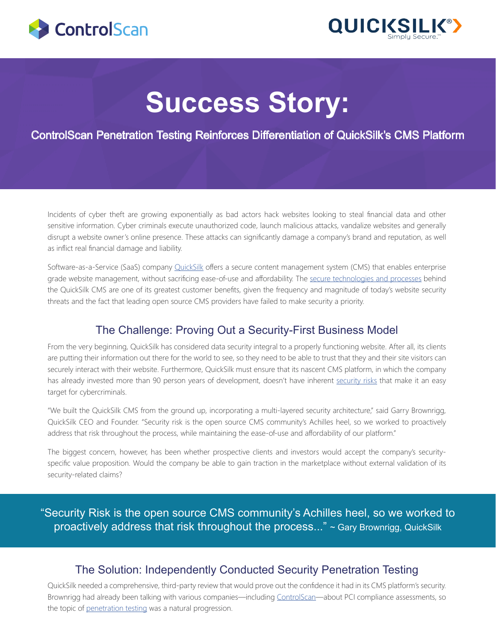



# **Success Story:**

ControlScan Penetration Testing Reinforces Differentiation of QuickSilk's CMS Platform

Incidents of cyber theft are growing exponentially as bad actors hack websites looking to steal financial data and other sensitive information. Cyber criminals execute unauthorized code, launch malicious attacks, vandalize websites and generally disrupt a website owner's online presence. These attacks can significantly damage a company's brand and reputation, as well as inflict real financial damage and liability.

Software-as-a-Service (SaaS) company **[QuickSilk](https://www.quicksilk.com/)** offers a secure content management system (CMS) that enables enterprise grade website management, without sacrificing ease-of-use and affordability. The [secure technologies and processes](https://www.quicksilk.com/website-builder-cms-features) behind the QuickSilk CMS are one of its greatest customer benefits, given the frequency and magnitude of today's website security threats and the fact that leading open source CMS providers have failed to make security a priority.

### The Challenge: Proving Out a Security-First Business Model

From the very beginning, QuickSilk has considered data security integral to a properly functioning website. After all, its clients are putting their information out there for the world to see, so they need to be able to trust that they and their site visitors can securely interact with their website. Furthermore, QuickSilk must ensure that its nascent CMS platform, in which the company has already invested more than 90 person years of development, doesn't have inherent [security risks](https://www.quicksilk.com/blog/1/wordpress-security-risks) that make it an easy target for cybercriminals.

"We built the QuickSilk CMS from the ground up, incorporating a multi-layered security architecture," said Garry Brownrigg, QuickSilk CEO and Founder. "Security risk is the open source CMS community's Achilles heel, so we worked to proactively address that risk throughout the process, while maintaining the ease-of-use and affordability of our platform."

The biggest concern, however, has been whether prospective clients and investors would accept the company's securityspecific value proposition. Would the company be able to gain traction in the marketplace without external validation of its security-related claims?

"Security Risk is the open source CMS community's Achilles heel, so we worked to proactively address that risk throughout the process..." ~ Gary Brownrigg, QuickSilk

#### The Solution: Independently Conducted Security Penetration Testing

QuickSilk needed a comprehensive, third-party review that would prove out the confidence it had in its CMS platform's security. Brownrigg had already been talking with various companies—including [ControlScan](https://www.controlscan.com/)—about PCI compliance assessments, so the topic of [penetration testing](https://www.controlscan.com/security/network-application-layer-penetration-testing/) was a natural progression.